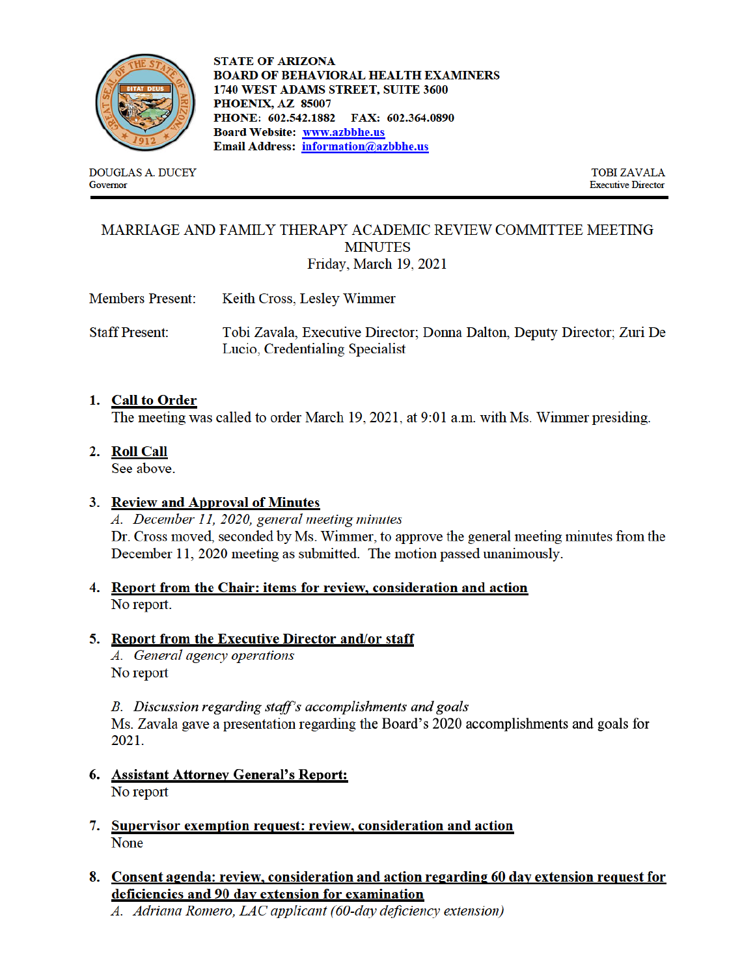

**DOUGLAS A. DUCEY** Governor

**STATE OF ARIZONA BOARD OF BEHAVIORAL HEALTH EXAMINERS** 1740 WEST ADAMS STREET, SUITE 3600 PHOENIX, AZ 85007 PHONE: 602.542.1882 FAX: 602.364.0890 **Board Website: www.azbbhe.us** Email Address: information@azbbhe.us

> **TOBI ZAVALA Executive Director**

### MARRIAGE AND FAMILY THERAPY ACADEMIC REVIEW COMMITTEE MEETING **MINUTES** Friday, March 19, 2021

- **Members Present:** Keith Cross, Lesley Wimmer
- **Staff Present:** Tobi Zavala, Executive Director; Donna Dalton, Deputy Director; Zuri De Lucio, Credentialing Specialist

### 1. Call to Order

The meeting was called to order March 19, 2021, at 9:01 a.m. with Ms. Wimmer presiding.

2. Roll Call

See above.

## 3. Review and Approval of Minutes

A. December 11, 2020, general meeting minutes Dr. Cross moved, seconded by Ms. Wimmer, to approve the general meeting minutes from the December 11, 2020 meeting as submitted. The motion passed unanimously.

4. Report from the Chair: items for review, consideration and action No report.

#### 5. Report from the Executive Director and/or staff

A. General agency operations No report

B. Discussion regarding staff's accomplishments and goals Ms. Zavala gave a presentation regarding the Board's 2020 accomplishments and goals for 2021.

- 6. Assistant Attorney General's Report: No report
- 7. Supervisor exemption request: review, consideration and action None
- 8. Consent agenda: review, consideration and action regarding 60 day extension request for deficiencies and 90 day extension for examination

A. Adriana Romero, LAC applicant (60-day deficiency extension)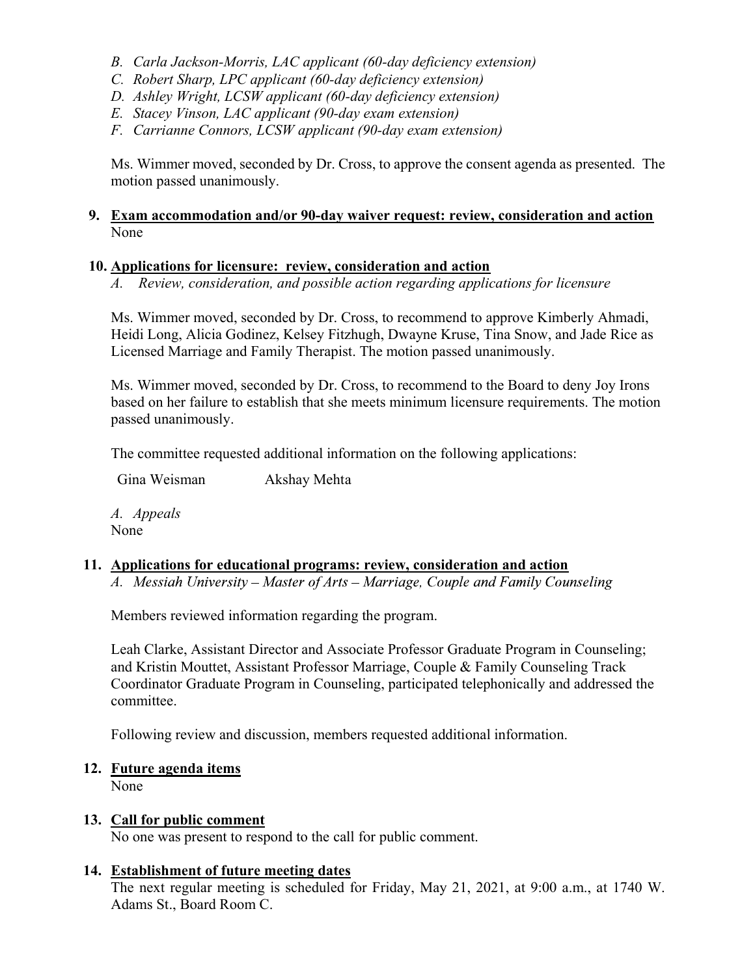- B. Carla Jackson-Morris, LAC applicant (60-day deficiency extension)
- C. Robert Sharp, LPC applicant (60-day deficiency extension)
- D. Ashley Wright, LCSW applicant (60-day deficiency extension)
- E. Stacey Vinson, LAC applicant (90-day exam extension)
- F. Carrianne Connors, LCSW applicant (90-day exam extension)

 Ms. Wimmer moved, seconded by Dr. Cross, to approve the consent agenda as presented. The motion passed unanimously.

### 9. Exam accommodation and/or 90-day waiver request: review, consideration and action None

## 10. Applications for licensure: review, consideration and action

A. Review, consideration, and possible action regarding applications for licensure

Ms. Wimmer moved, seconded by Dr. Cross, to recommend to approve Kimberly Ahmadi, Heidi Long, Alicia Godinez, Kelsey Fitzhugh, Dwayne Kruse, Tina Snow, and Jade Rice as Licensed Marriage and Family Therapist. The motion passed unanimously.

Ms. Wimmer moved, seconded by Dr. Cross, to recommend to the Board to deny Joy Irons based on her failure to establish that she meets minimum licensure requirements. The motion passed unanimously.

The committee requested additional information on the following applications:

Gina Weisman Akshay Mehta

A. Appeals None

## 11. Applications for educational programs: review, consideration and action

A. Messiah University – Master of Arts – Marriage, Couple and Family Counseling

Members reviewed information regarding the program.

Leah Clarke, Assistant Director and Associate Professor Graduate Program in Counseling; and Kristin Mouttet, Assistant Professor Marriage, Couple & Family Counseling Track Coordinator Graduate Program in Counseling, participated telephonically and addressed the committee.

Following review and discussion, members requested additional information.

# 12. Future agenda items

None

# 13. Call for public comment

No one was present to respond to the call for public comment.

# 14. Establishment of future meeting dates

The next regular meeting is scheduled for Friday, May 21, 2021, at 9:00 a.m., at 1740 W. Adams St., Board Room C.